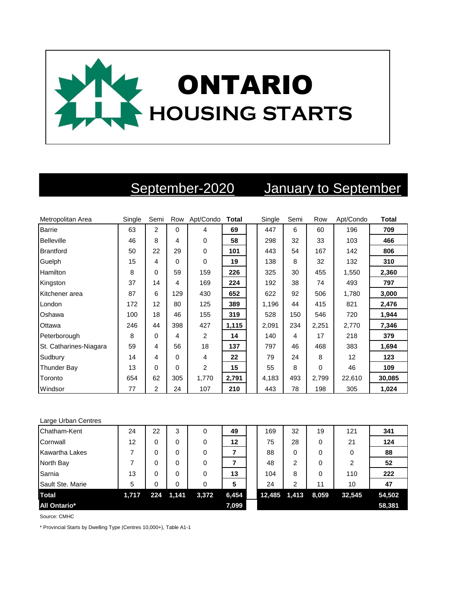

# September-2020 January to September

| Metropolitan Area      | Single | Semi           | Row      | Apt/Condo | <b>Total</b> | Single | Semi | Row   | Apt/Condo | <b>Total</b> |
|------------------------|--------|----------------|----------|-----------|--------------|--------|------|-------|-----------|--------------|
| <b>Barrie</b>          | 63     | $\overline{2}$ | $\Omega$ | 4         | 69           | 447    | 6    | 60    | 196       | 709          |
| <b>Belleville</b>      | 46     | 8              | 4        | $\Omega$  | 58           | 298    | 32   | 33    | 103       | 466          |
| <b>Brantford</b>       | 50     | 22             | 29       | 0         | 101          | 443    | 54   | 167   | 142       | 806          |
| Guelph                 | 15     | 4              | 0        | 0         | 19           | 138    | 8    | 32    | 132       | 310          |
| Hamilton               | 8      | 0              | 59       | 159       | 226          | 325    | 30   | 455   | 1,550     | 2,360        |
| Kingston               | 37     | 14             | 4        | 169       | 224          | 192    | 38   | 74    | 493       | 797          |
| Kitchener area         | 87     | 6              | 129      | 430       | 652          | 622    | 92   | 506   | 1,780     | 3,000        |
| London                 | 172    | 12             | 80       | 125       | 389          | 1,196  | 44   | 415   | 821       | 2,476        |
| Oshawa                 | 100    | 18             | 46       | 155       | 319          | 528    | 150  | 546   | 720       | 1,944        |
| Ottawa                 | 246    | 44             | 398      | 427       | 1,115        | 2,091  | 234  | 2,251 | 2,770     | 7,346        |
| Peterborough           | 8      | 0              | 4        | 2         | 14           | 140    | 4    | 17    | 218       | 379          |
| St. Catharines-Niagara | 59     | 4              | 56       | 18        | 137          | 797    | 46   | 468   | 383       | 1,694        |
| Sudbury                | 14     | 4              | 0        | 4         | 22           | 79     | 24   | 8     | 12        | 123          |
| <b>Thunder Bay</b>     | 13     | 0              | 0        | 2         | 15           | 55     | 8    | 0     | 46        | 109          |
| Toronto                | 654    | 62             | 305      | 1,770     | 2,791        | 4,183  | 493  | 2,799 | 22,610    | 30,085       |
| Windsor                | 77     | $\overline{2}$ | 24       | 107       | 210          | 443    | 78   | 198   | 305       | 1,024        |

### Large Urban Centres

| Chatham-Kent          | 24    | 22  | 3     | 0     | 49    | 169    | 32    | 19    | 121            | 341    |
|-----------------------|-------|-----|-------|-------|-------|--------|-------|-------|----------------|--------|
| Cornwall              | 12    | 0   | 0     | 0     | 12    | 75     | 28    | 0     | 21             | 124    |
| <b>Kawartha Lakes</b> |       | 0   | 0     | 0     |       | 88     | 0     | 0     | 0              | 88     |
| North Bay             |       | 0   | 0     | 0     |       | 48     | 2     | 0     | $\overline{2}$ | 52     |
| Sarnia                | 13    | 0   | 0     | 0     | 13    | 104    | 8     | 0     | 110            | 222    |
| Sault Ste. Marie      | 5     | 0   | 0     | 0     | 5     | 24     | 2     | 11    | 10             | 47     |
| <b>Total</b>          | 1,717 | 224 | 1,141 | 3,372 | 6,454 | 12,485 | 1,413 | 8,059 | 32,545         | 54,502 |
| <b>All Ontario*</b>   |       |     |       |       | 7,099 |        |       |       |                | 58,381 |

Source: CMHC

\* Provincial Starts by Dwelling Type (Centres 10,000+), Table A1-1